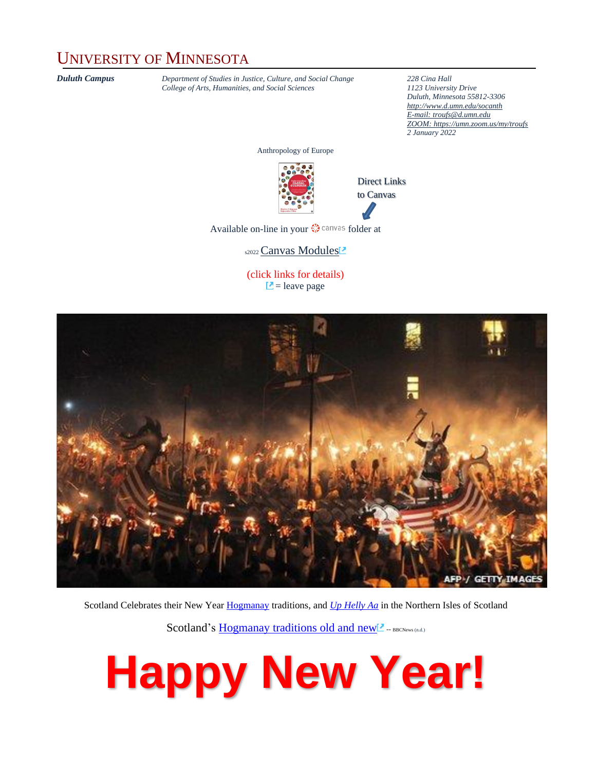#### UNIVERSITY OF MINNESOTA

*Duluth Campus Department of Studies in Justice, Culture, and Social Change* **228** *Cina Hall College of Arts. Humanities, and Social Sciences 2123 University Drive*  $College$  of Arts, Humanities, and Social Sciences

*Duluth, Minnesota 55812-3306 <http://www.d.umn.edu/socanth> E-mail[: troufs@d.umn.edu](mailto:troufs@d.umn.edu) ZOOM[: https://umn.zoom.us/my/troufs](https://umn.zoom.us/my/troufs) 2 January 2022*

Anthropology of Europe



Direct Links to Canvas

Availableon-line in your  $\mathbb{Q}$  canvas folder at

s2022 [Canvas Modules](https://canvas.umn.edu/courses/282731/modules/945780)<sup>2</sup>

(click links for details)  $\Box$  = leave page



Scotland Celebrates their New Yea[r Hogmanay](https://en.wikipedia.org/wiki/Hogmanay) traditions, and *[Up Helly Aa](https://en.wikipedia.org/wiki/Up_Helly_Aa)* in the Northern Isles of Scotland

Scotland's [Hogmanay traditions old and new](http://news.bbc.co.uk/local/highlandsandislands/hi/people_and_places/arts_and_culture/newsid_8434000/8434760.stm) -- BBCNews (n.d.)

# **Happy New Year!**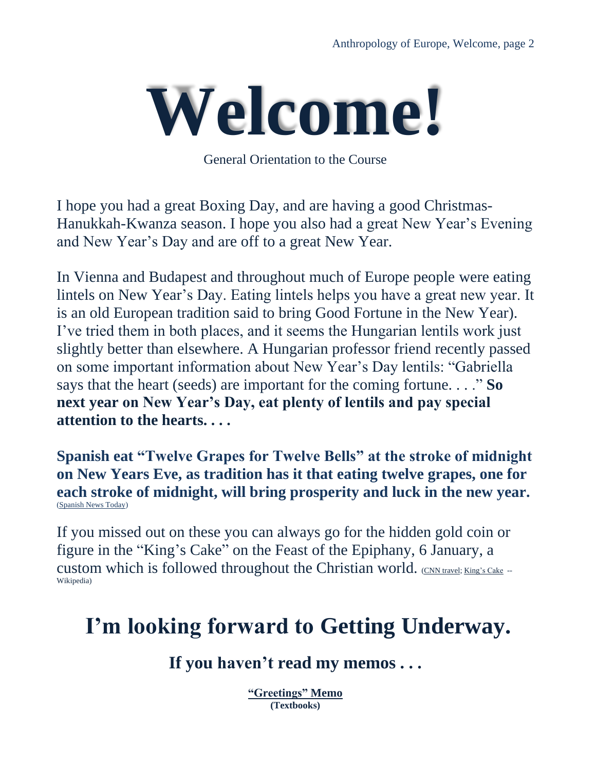

General Orientation to the Course

I hope you had a great Boxing Day, and are having a good Christmas-Hanukkah-Kwanza season. I hope you also had a great New Year's Evening and New Year's Day and are off to a great New Year.

In Vienna and Budapest and throughout much of Europe people were eating lintels on New Year's Day. Eating lintels helps you have a great new year. It is an old European tradition said to bring Good Fortune in the New Year). I've tried them in both places, and it seems the Hungarian lentils work just slightly better than elsewhere. A Hungarian professor friend recently passed on some important information about New Year's Day lentils: "Gabriella says that the heart (seeds) are important for the coming fortune. . . ." **So next year on New Year's Day, eat plenty of lentils and pay special attention to the hearts. . . .**

**Spanish eat "Twelve Grapes for Twelve Bells" at the stroke of midnight on New Years Eve, as tradition has it that eating twelve grapes, one for each stroke of midnight, will bring prosperity and luck in the new year.** [\(Spanish News Today\)](https://spanishnewstoday.com/twelve-grapes-for-twelve-bells-a-spanish-new-years-eve-tradition-explained_1708779-a.html??region=7)

If you missed out on these you can always go for the hidden gold coin or figure in the "King's Cake" on the Feast of the Epiphany, 6 January, a custom which is followed throughout the Christian world. [\(CNN travel;](https://www.cnn.com/travel/article/new-years-food-traditions/index.html) [King's Cake](https://en.wikipedia.org/wiki/King_cake) --Wikipedia)

### **I'm looking forward to Getting Underway.**

#### **If you haven't read my memos . . .**

**["Greetings"](https://www.d.umn.edu/cla/faculty/troufs/anth3635/memos/weekly%20memos/ce_Week_01a_memo_greetings_s2022.pdf) Memo (Textbooks)**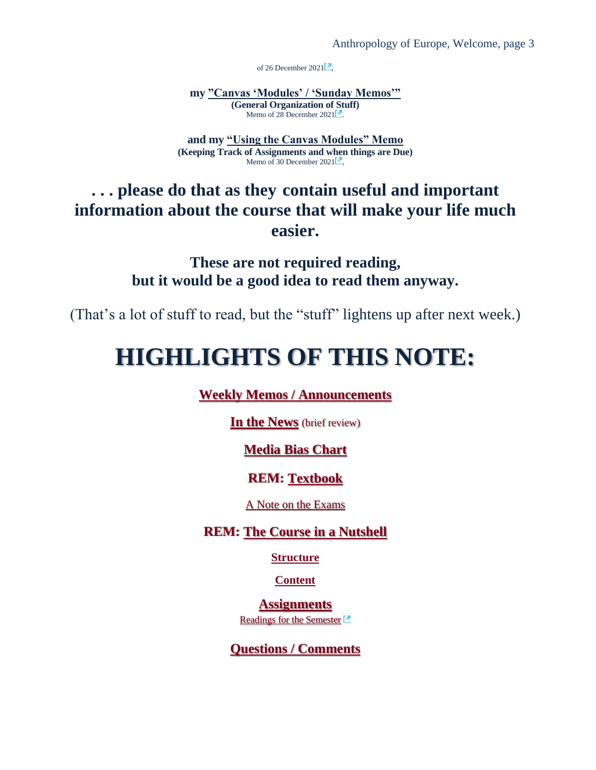of 26 December 2021 $\Box$ 

**my ["Canvas 'Modules' / 'Sunday Memos'"](https://www.d.umn.edu/cla/faculty/troufs/anth3635/memos/weekly%20memos/ce_Week_01b_modules_and_memos_s2022.pdf) (General Organization of Stuff)**  Memo of  $28$  December  $2021$ .

**and my ["Using the Canvas Modules" Memo](https://www.d.umn.edu/cla/faculty/troufs/anth3635/memos/weekly%20memos/ce_Week_01c_using_modules_s2022.pdf) (Keeping Track of Assignments and when things are Due)** Memo of 30 December 2021 $\Box$ ,

**. . . please do that as they contain useful and important information about the course that will make your life much easier.**

> **These are not required reading, but it would be a good idea to read them anyway.**

(That's a lot of stuff to read, but the "stuff" lightens up after next week.)

### **HIGHLIGHTS OF THIS NOTE:**

**[Weekly Memos / Announcements](#page-3-0)**

**[In the News](#page-4-0)** (brief review)

#### **[Media Bias Chart](#page-5-0)**

#### **REM: [Textbook](#page-5-1)**

[A Note on the Exams](#page-6-0)

#### **REM: [The Course in a Nutshell](#page-7-0)**

**[Structure](#page-7-1)**

**[Content](#page-8-0)**

**[Assignments](#page-10-0)** Readings [for the Semester](https://www.d.umn.edu/cla/faculty/troufs/anthfood/afread-s.html#title)<sup>[2]</sup>

**[Questions /](#page-10-1) Comments**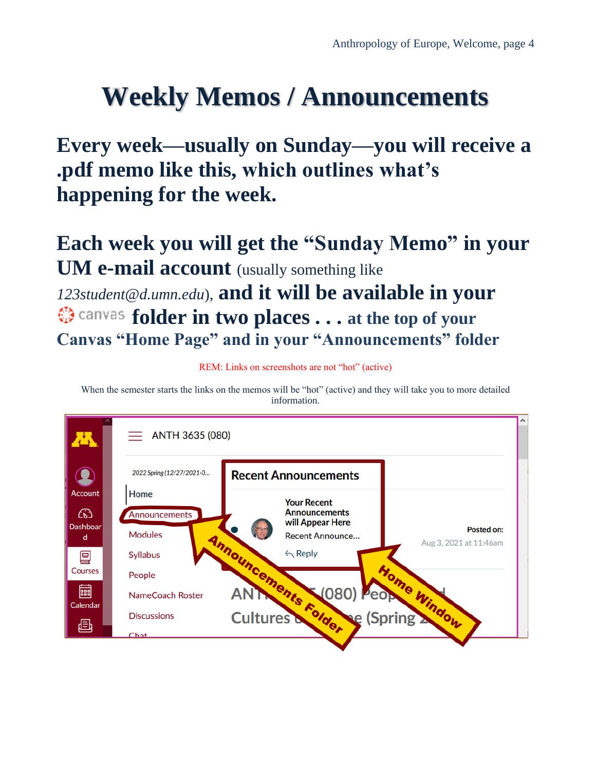# <span id="page-3-0"></span>**Weekly Memos / Announcements**

**Every week—usually on Sunday—you will receive a .pdf memo like this, which outlines what's happening for the week.** 

**Each week you will get the "Sunday Memo" in your UM e-mail account** (usually something like *123student@d.umn.edu*), **and it will be available in your folder in two places . . . at the top of your Canvas "Home Page" and in your "Announcements" folder** 

REM: Links on screenshots are not "hot" (active)

When the semester starts the links on the memos will be "hot" (active) and they will take you to more detailed information.

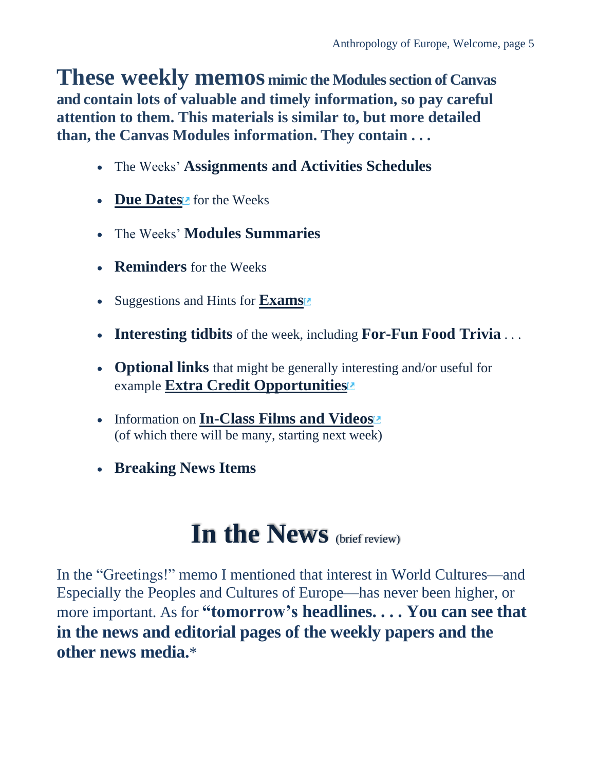**These weekly memos mimic the Modules section of Canvas and contain lots of valuable and timely information, so pay careful attention to them. This materials is similar to, but more detailed than, the Canvas Modules information. They contain . . .**

- The Weeks' **Assignments and Activities Schedules**
- **[Due Dates](https://www.d.umn.edu/cla/faculty/troufs/anth3635/cedue-dates.html#title)** for the Weeks
- The Weeks' **Modules Summaries**
- **Reminders** for the Weeks
- Suggestions and Hints for **[Exams](https://www.d.umn.edu/cla/faculty/troufs/anth3635/ceexams_midterm.html#title)**
- **Interesting tidbits** of the week, including **For-Fun Food Trivia** . . .
- **Optional links** that might be generally interesting and/or useful for example **Extra [Credit Opportunities](https://www.d.umn.edu/cla/faculty/troufs/anth3635/ceextracredit.html#title)**
- Information on **In-Class Films [and Videos](https://www.d.umn.edu/cla/faculty/troufs/anth3635/cevideo_schedule.html#title)** (of which there will be many, starting next week)
- <span id="page-4-0"></span>• **Breaking News Items**

# **In the News** (brief review)

In the "Greetings!" memo I mentioned that interest in World Cultures—and Especially the Peoples and Cultures of Europe—has never been higher, or more important. As for **"tomorrow's headlines. . . . You can see that in the news and editorial pages of the weekly papers and the other news media.**\*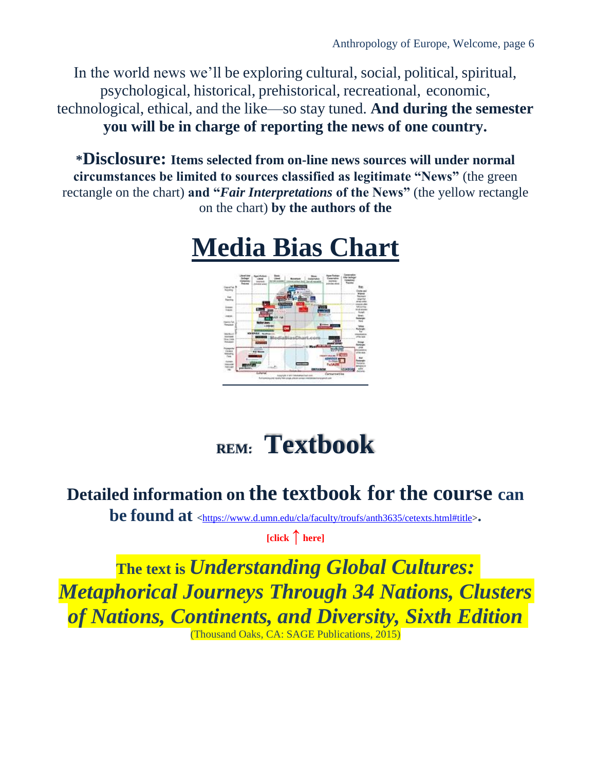In the world news we'll be exploring cultural, social, political, spiritual, psychological, historical, prehistorical, recreational, economic, technological, ethical, and the like—so stay tuned. **And during the semester you will be in charge of reporting the news of one country.**

<span id="page-5-0"></span>**\*Disclosure: Items selected from on-line news sources will under normal circumstances be limited to sources classified as legitimate "News"** (the green rectangle on the chart) **and "***Fair Interpretations* **of the News"** (the yellow rectangle on the chart) **by the authors of the** 





# **REM: Textbook**

### <span id="page-5-1"></span>**Detailed information on the textbook for the course can**

**be found at <sup>&</sup>lt;**[https://www.d.umn.edu/cla/faculty/troufs/anth3635/cetexts.html#title>](https://www.d.umn.edu/cla/faculty/troufs/anth3635/cetexts.html#title)**.**

**[click ↑ here]**

**The text is** *Understanding Global Cultures: Metaphorical Journeys Through 34 Nations, Clusters of Nations, Continents, and Diversity, Sixth Edition*

(Thousand Oaks, CA: SAGE Publications, 2015)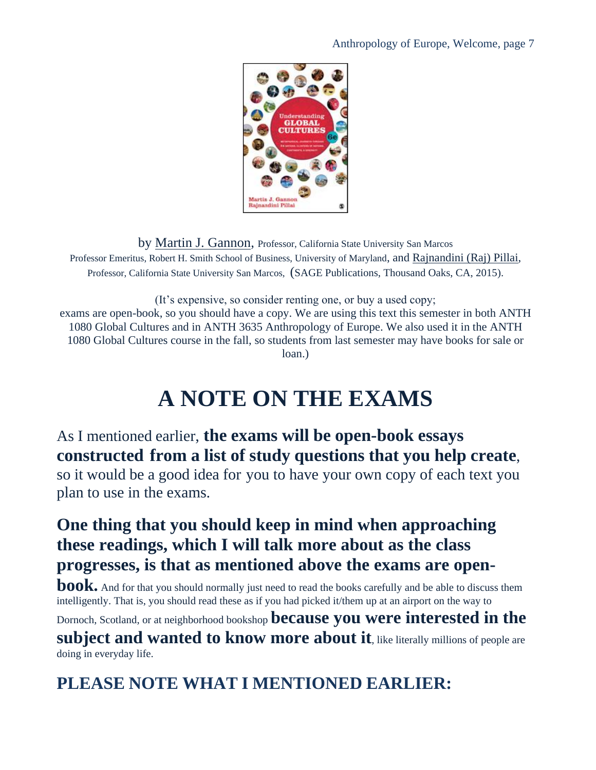#### Anthropology of Europe, Welcome, page 7



by [Martin J. Gannon,](https://www.d.umn.edu/cla/faculty/troufs/anth3635/cetexts.html#gannon) Professor, California State University San Marcos Professor Emeritus, Robert H. Smith School of Business, University of Maryland, and [Rajnandini \(Raj\) Pillai,](https://www.d.umn.edu/cla/faculty/troufs/anth3635/cetexts.html#pillai) Professor, California State University San Marcos, (SAGE Publications, Thousand Oaks, CA, 2015).

(It's expensive, so consider renting one, or buy a used copy; exams are open-book, so you should have a copy. We are using this text this semester in both ANTH 1080 Global Cultures and in ANTH 3635 Anthropology of Europe. We also used it in the ANTH 1080 Global Cultures course in the fall, so students from last semester may have books for sale or loan.)

### **A NOTE ON THE EXAMS**

<span id="page-6-0"></span>As I mentioned earlier, **the exams will be open-book essays constructed from a list of study questions that you help create**, so it would be a good idea for you to have your own copy of each text you plan to use in the exams.

#### **One thing that you should keep in mind when approaching these readings, which I will talk more about as the class progresses, is that as mentioned above the exams are open-**

**book.** And for that you should normally just need to read the books carefully and be able to discuss them intelligently. That is, you should read these as if you had picked it/them up at an airport on the way to

Dornoch, Scotland, or at neighborhood bookshop **because you were interested in the** 

subject and wanted to know more about it, like literally millions of people are doing in everyday life.

**PLEASE NOTE WHAT I MENTIONED EARLIER:**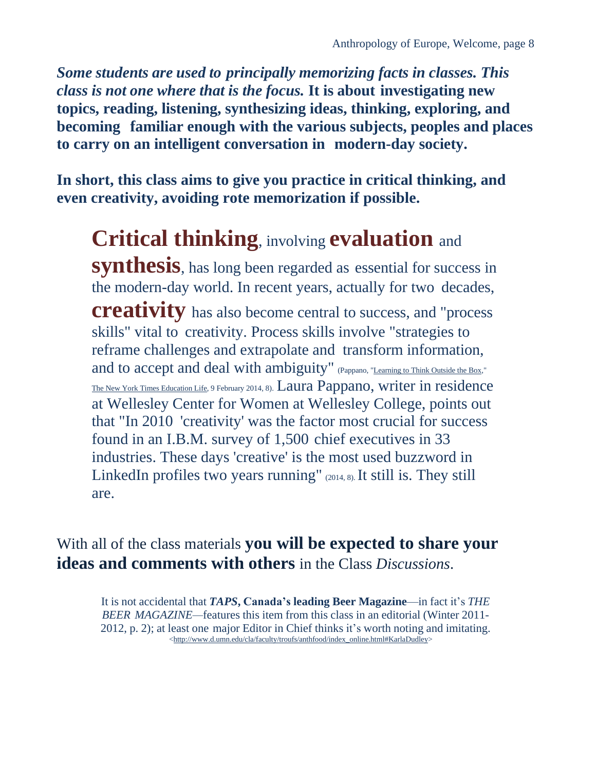*Some students are used to principally memorizing facts in classes. This class is not one where that is the focus.* **It is about investigating new topics, reading, listening, synthesizing ideas, thinking, exploring, and becoming familiar enough with the various subjects, peoples and places to carry on an intelligent conversation in modern-day society.**

**In short, this class aims to give you practice in critical thinking, and even creativity, avoiding rote memorization if possible.**

### **Critical thinking**, involving **evaluation** and **synthesis**, has long been regarded as essential for success in the modern-day world. In recent years, actually for two decades, **creativity** has also become central to success, and "process" skills" vital to creativity. Process skills involve "strategies to reframe challenges and extrapolate and transform information, and to accept and deal with ambiguity" (Pappano, ["Learning](http://www.google.com/url?sa=t&rct=j&q&esrc=s&source=web&cd=1&cad=rja&ved=0CCoQqQIwAA&url=http%3A%2F%2Fwww.nytimes.com%2F2014%2F02%2F09%2Feducation%2Fedlife%2Fcreativity-becomes-an-academic-discipline.html&ei=ivr4UpW-AsS8yAH374H4CQ&usg=AFQjCNERYQCiPmsrRTmkzA_Tt-XoOsE6Sw&sig2=bkJiq4nVDKOnR3albCRm8Q&bvm=bv.60983673%2Cd.aWc) to Think [Outside the](http://www.google.com/url?sa=t&rct=j&q&esrc=s&source=web&cd=1&cad=rja&ved=0CCoQqQIwAA&url=http%3A%2F%2Fwww.nytimes.com%2F2014%2F02%2F09%2Feducation%2Fedlife%2Fcreativity-becomes-an-academic-discipline.html&ei=ivr4UpW-AsS8yAH374H4CQ&usg=AFQjCNERYQCiPmsrRTmkzA_Tt-XoOsE6Sw&sig2=bkJiq4nVDKOnR3albCRm8Q&bvm=bv.60983673%2Cd.aWc) Box," [The New York Times](http://www.nytimes.com/) [Education](http://www.nytimes.com/pages/education/edlife/index.html) Life, 9 February 2014, 8). Laura Pappano, writer in residence at Wellesley Center for Women at Wellesley College, points out that "In 2010 'creativity' was the factor most crucial for success found in an I.B.M. survey of 1,500 chief executives in 33 industries. These days 'creative' is the most used buzzword in LinkedIn profiles two years running"  $(2014, 8)$ . It still is. They still are.

With all of the class materials **you will be expected to share your ideas and comments with others** in the Class *Discussions*.

<span id="page-7-1"></span><span id="page-7-0"></span>It is not accidental that *TAPS***, Canada's leading Beer Magazine**—in fact it's *THE BEER MAGAZINE—*features this item from this class in an editorial (Winter 2011- 2012, p. 2); at least one major Editor in Chief thinks it's worth noting and imitating. [<http://www.d.umn.edu/cla/faculty/troufs/anthfood/index\\_online.html#KarlaDudley>](http://www.d.umn.edu/cla/faculty/troufs/anthfood/index_online.html#KarlaDudley)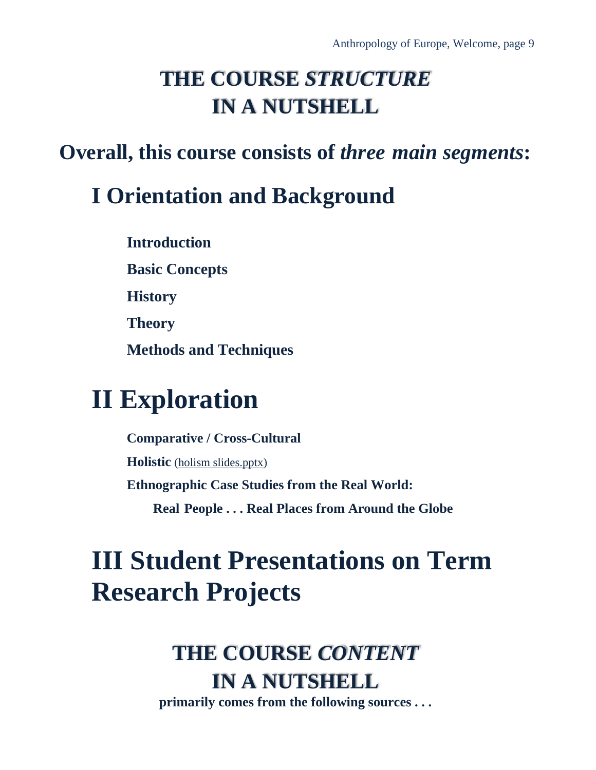### **THE COURSE** *STRUCTURE* **IN A NUTSHELL**

### **Overall, this course consists of** *three main segments***:**

### **I Orientation and Background**

**Introduction**

**Basic Concepts**

**History**

**Theory**

**Methods and Techniques**

# **II Exploration**

**Comparative / Cross-Cultural Holistic** [\(holism slides.pptx\)](https://www.d.umn.edu/cla/faculty/troufs/anth3635/ceslides.html#title) **Ethnographic Case Studies from the Real World: Real People . . . Real Places from Around the Globe**

# <span id="page-8-0"></span>**III Student Presentations on Term Research Projects**

## **THE COURSE** *CONTENT* **IN A NUTSHELL**

**primarily comes from the following sources . . .**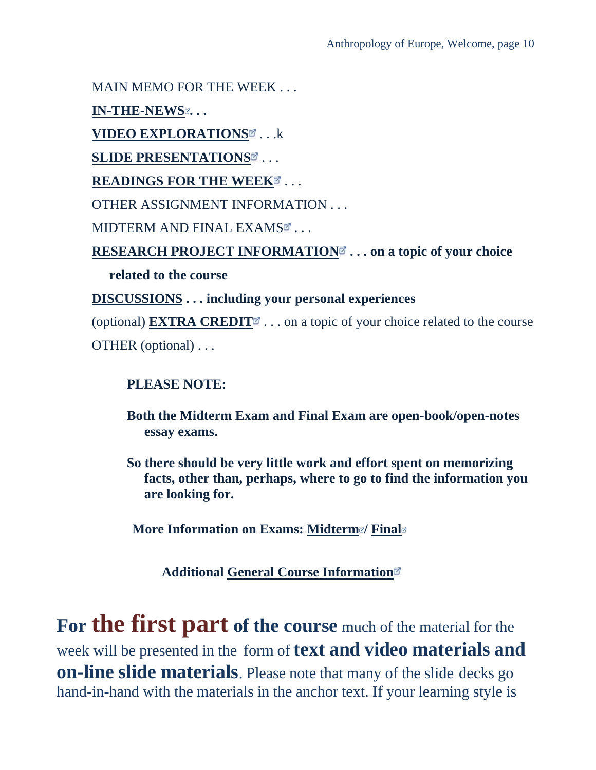MAIN MEMO FOR THE WEEK . . .

**[IN-THE-NEWS](https://www.d.umn.edu/cla/faculty/troufs/anth3635/ce_in_the_news_report.html#title) . . .**

**[VIDEO EXPLORATIONS](https://www.d.umn.edu/cla/faculty/troufs/anth3635/cevideo_schedule.html#title)** . . .k

**[SLIDE PRESENTATIONS](https://www.d.umn.edu/cla/faculty/troufs/anth3635/ceslides.html#title)** . . .

**[READINGS FOR THE WEEK](https://www.d.umn.edu/cla/faculty/troufs/anth3635/ceread-s.html#title)** ...

OTHER ASSIGNMENT INFORMATION . . .

MIDTERM AND FINAL EXAM[S](https://www.d.umn.edu/cla/faculty/troufs/anthfood/afvideo_schedule.html#title)E...

**[RESEARCH PROJECT INFORMATION](https://www.d.umn.edu/cla/faculty/troufs/anth3635/ceproject.html#title) . . . on a topic of your choice** 

**related to the course**

**[DISCUSSIONS](https://www.d.umn.edu/cla/faculty/troufs/anth3635/ceforumsamples.html#title) . . . including your personal experiences**

(optional) **[EXTRA CREDIT](https://www.d.umn.edu/cla/faculty/troufs/anth3635/ceextracredit.html#title)** $\bullet$  ... on a topic of your choice related to the course OTHER (optional) . . .

**PLEASE NOTE:**

**Both the Midterm Exam and Final Exam are open-book/open-notes essay exams.**

**So there should be very little work and effort spent on memorizing facts, other than, perhaps, where to go to find the information you are looking for.**

**More Information on Exams: [Midterm](https://www.d.umn.edu/cla/faculty/troufs/anth3635/ceexams_midterm.html#title)<sup>®</sup>/ [Final](https://www.d.umn.edu/cla/faculty/troufs/anth3635/ceexams_final.html#title)<sup>®</sup>** 

**Additional [General Course Information](https://www.d.umn.edu/cla/faculty/troufs/anth3635/cecourseinfo.html#title)**

**For the first part of the course** much of the material for the week will be presented in the form of **text and video materials and on-line slide materials**. Please note that many of the slide decks go hand-in-hand with the materials in the anchor text. If your learning style is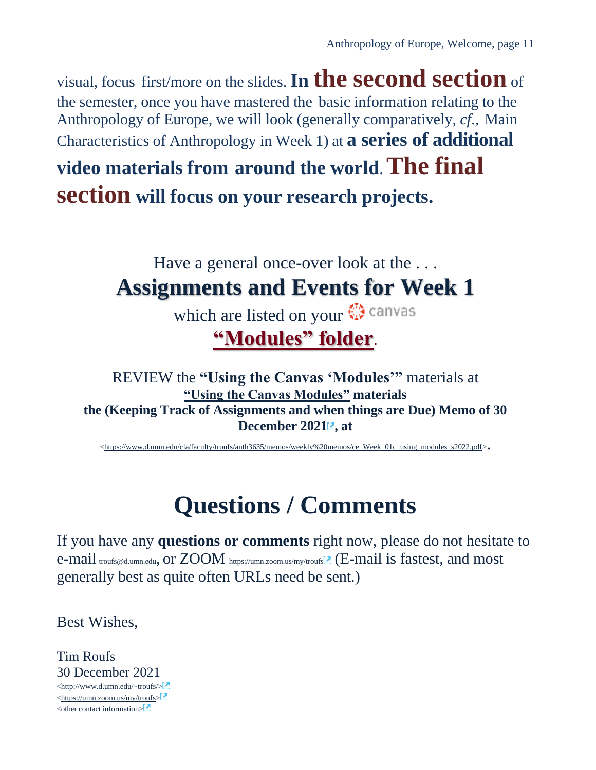visual, focus first/more on the slides.**In the second section** of the semester, once you have mastered the basic information relating to the Anthropology of Europe, we will look (generally comparatively, *cf*., Main Characteristics of Anthropology in Week 1) at **a series of additional** 

**video materials from around the world**.**The final section will focus on your research projects.**

### <span id="page-10-0"></span>Have a general once-over look at the ... **Assignments and Events for Week 1**

which are listed on your  $\bigcirc$  canvas **["Modules" folder](https://canvas.umn.edu/courses/282731/modules/945780)**.

REVIEW the **"Using the Canvas 'Modules'"** materials at **["Using the Canvas Modules"](https://www.d.umn.edu/cla/faculty/troufs/anth3635/memos/weekly%20memos/ce_Week_01c_using_modules_s2022.pdf) materials the (Keeping Track of Assignments and when things are Due) Memo of 30 December 2021 , at** 

[<https://www.d.umn.edu/cla/faculty/troufs/anth3635/memos/weekly%20memos/ce\\_Week\\_01c\\_using\\_modules\\_s2022.pdf>](https://www.d.umn.edu/cla/faculty/troufs/anth3635/memos/weekly%20memos/ce_Week_01c_using_modules_s2022.pdf).

# **Questions / Comments**

<span id="page-10-1"></span>If you have any **questions or comments** right now, please do not hesitate to e-mail [troufs@d.umn.edu](mailto:troufs@d.umn.edu), or ZOOM <https://umn.zoom.us/my/troufs><sup>7</sup> (E-mail is fastest, and most generally best as quite often URLs need be sent.)

Best Wishes,

Tim Roufs 30 December 2021 [<http://www.d.umn.edu/~troufs/>](http://www.d.umn.edu/~troufs/) [<https://umn.zoom.us/my/troufs>](https://umn.zoom.us/my/troufs)  $\leq$ other contact information $\geq$